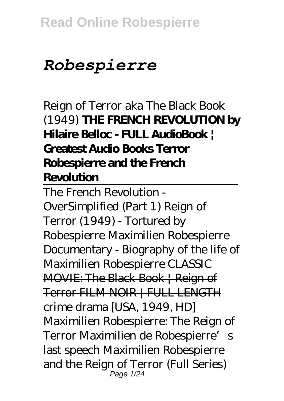# *Robespierre*

Reign of Terror aka The Black Book (1949) **THE FRENCH REVOLUTION by Hilaire Belloc - FULL AudioBook | Greatest Audio Books Terror Robespierre and the French Revolution**

The French Revolution - OverSimplified (Part 1) Reign of Terror (1949) - Tortured by Robespierre *Maximilien Robespierre Documentary - Biography of the life of Maximilien Robespierre* CLASSIC MOVIE: The Black Book | Reign of Terror FILM NOIR | FULL LENGTH crime drama [USA, 1949, HD] Maximilien Robespierre: The Reign of Terror *Maximilien de Robespierre's last speech Maximilien Robespierre and the Reign of Terror (Full Series)* Page 1/24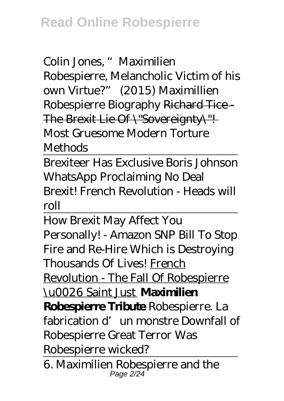*Colin Jones, "Maximilien Robespierre, Melancholic Victim of his own Virtue?" (2015) Maximillien Robespierre Biography* Richard Tice - The Brexit Lie Of \ "Sovereignty\"! *Most Gruesome Modern Torture Methods*

Brexiteer Has Exclusive Boris Johnson WhatsApp Proclaiming No Deal Brexit! French Revolution - Heads will roll

How Brexit May Affect You Personally! - Amazon SNP Bill To Stop Fire and Re-Hire Which is Destroying Thousands Of Lives! French Revolution - The Fall Of Robespierre \u0026 Saint Just **Maximilien Robespierre Tribute** Robespierre. La fabrication d'un monstre *Downfall of Robespierre Great Terror* Was Robespierre wicked?

6. Maximilien Robespierre and the Page 2/24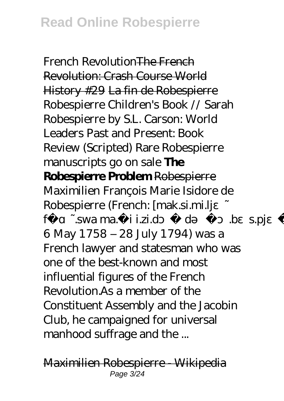French RevolutionThe French Revolution: Crash Course World History #29 La fin de Robespierre *Robespierre Children's Book // Sarah Robespierre by S.L. Carson: World Leaders Past and Present: Book Review (Scripted) Rare Robespierre manuscripts go on sale* **The Robespierre Problem** Robespierre Maximilien François Marie Isidore de Robespierre (French: [mak.si.mi.lj f .swa ma. i i.zi.d d. b s.pj 6 May 1758 – 28 July 1794) was a French lawyer and statesman who was one of the best-known and most influential figures of the French Revolution.As a member of the Constituent Assembly and the Jacobin Club, he campaigned for universal manhood suffrage and the ...

Maximilien Robespierre - Wikipedia Page 3/24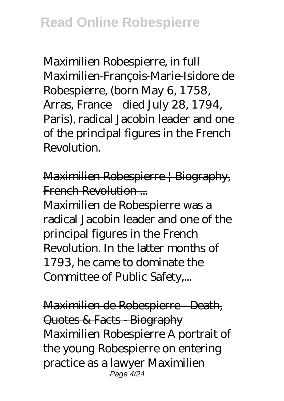Maximilien Robespierre, in full Maximilien-François-Marie-Isidore de Robespierre, (born May 6, 1758, Arras, France—died July 28, 1794, Paris), radical Jacobin leader and one of the principal figures in the French **Revolution** 

Maximilien Robespierre | Biography, French Revolution ...

Maximilien de Robespierre was a radical Jacobin leader and one of the principal figures in the French Revolution. In the latter months of 1793, he came to dominate the Committee of Public Safety,...

Maximilien de Robespierre - Death, Quotes & Facts - Biography Maximilien Robespierre A portrait of the young Robespierre on entering practice as a lawyer Maximilien Page 4/24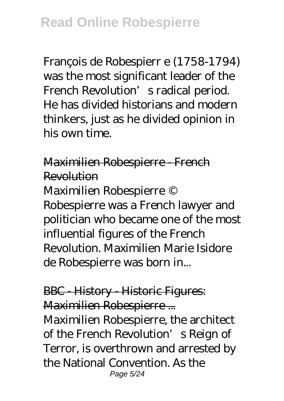François de Robespierr e (1758-1794) was the most significant leader of the French Revolution's radical period. He has divided historians and modern thinkers, just as he divided opinion in his own time.

Maximilien Robespierre - French Revolution Maximilien Robespierre © Robespierre was a French lawyer and politician who became one of the most influential figures of the French Revolution. Maximilien Marie Isidore de Robespierre was born in...

BBC - History - Historic Figures: Maximilien Robespierre ...

Maximilien Robespierre, the architect of the French Revolution's Reign of Terror, is overthrown and arrested by the National Convention. As the Page 5/24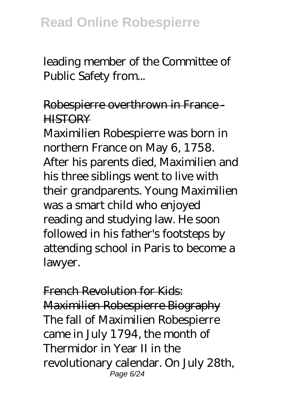leading member of the Committee of Public Safety from...

Robespierre overthrown in France - **HISTORY** 

Maximilien Robespierre was born in northern France on May 6, 1758. After his parents died, Maximilien and his three siblings went to live with their grandparents. Young Maximilien was a smart child who enjoyed reading and studying law. He soon followed in his father's footsteps by attending school in Paris to become a lawyer.

French Revolution for Kids: Maximilien Robespierre Biography The fall of Maximilien Robespierre came in July 1794, the month of Thermidor in Year II in the revolutionary calendar. On July 28th, Page 6/24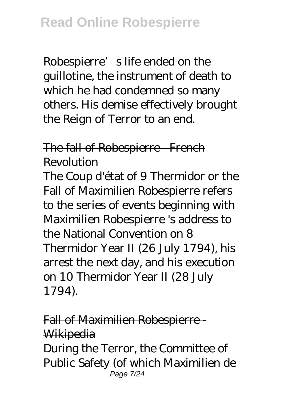Robespierre's life ended on the guillotine, the instrument of death to which he had condemned so many others. His demise effectively brought the Reign of Terror to an end.

The fall of Robespierre French Revolution

The Coup d'état of 9 Thermidor or the Fall of Maximilien Robespierre refers to the series of events beginning with Maximilien Robespierre 's address to the National Convention on 8 Thermidor Year II (26 July 1794), his arrest the next day, and his execution on 10 Thermidor Year II (28 July 1794).

Fall of Maximilien Robespierre - Wikipedia

During the Terror, the Committee of Public Safety (of which Maximilien de Page 7/24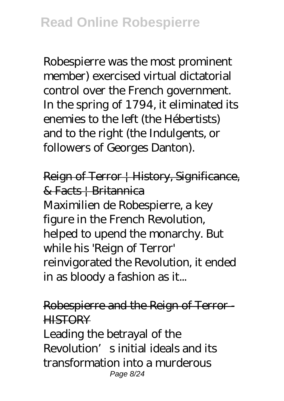Robespierre was the most prominent member) exercised virtual dictatorial control over the French government. In the spring of 1794, it eliminated its enemies to the left (the Hébertists) and to the right (the Indulgents, or followers of Georges Danton).

Reign of Terror | History, Significance, & Facts | Britannica Maximilien de Robespierre, a key figure in the French Revolution, helped to upend the monarchy. But while his 'Reign of Terror' reinvigorated the Revolution, it ended in as bloody a fashion as it...

Robespierre and the Reign of Terror - **HISTORY** 

Leading the betrayal of the Revolution's initial ideals and its transformation into a murderous Page 8/24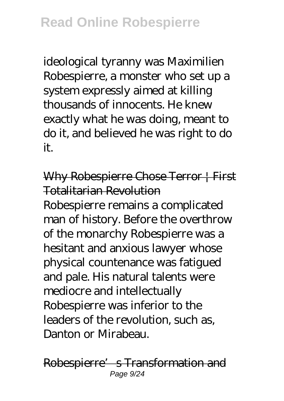ideological tyranny was Maximilien Robespierre, a monster who set up a system expressly aimed at killing thousands of innocents. He knew exactly what he was doing, meant to do it, and believed he was right to do it.

Why Robespierre Chose Terror | First Totalitarian Revolution

Robespierre remains a complicated man of history. Before the overthrow of the monarchy Robespierre was a hesitant and anxious lawyer whose physical countenance was fatigued and pale. His natural talents were mediocre and intellectually Robespierre was inferior to the leaders of the revolution, such as, Danton or Mirabeau.

Robespierre's Transformation and Page  $9/24$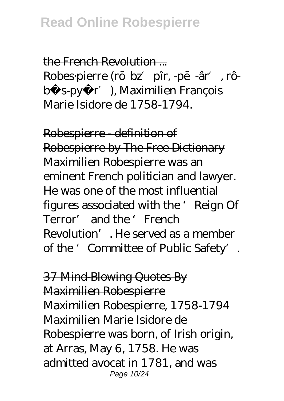the French Revolution Robes·pierre (r $bz$  pîr, -p -âr, rôb s-py r ), Maximilien François Marie Isidore de 1758-1794.

Robespierre - definition of Robespierre by The Free Dictionary Maximilien Robespierre was an eminent French politician and lawyer. He was one of the most influential figures associated with the 'Reign Of Terror' and the 'French Revolution'. He served as a member of the 'Committee of Public Safety'.

37 Mind-Blowing Quotes By Maximilien Robespierre Maximilien Robespierre, 1758-1794 Maximilien Marie Isidore de Robespierre was born, of Irish origin, at Arras, May 6, 1758. He was admitted avocat in 1781, and was Page 10/24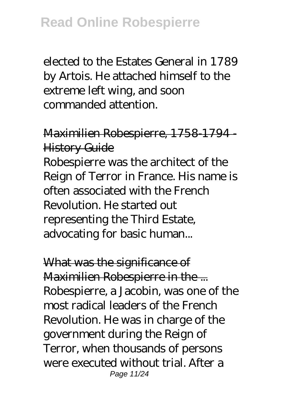elected to the Estates General in 1789 by Artois. He attached himself to the extreme left wing, and soon commanded attention.

## Maximilien Robespierre, 1758-1794 - **History Guide**

Robespierre was the architect of the Reign of Terror in France. His name is often associated with the French Revolution. He started out representing the Third Estate, advocating for basic human...

What was the significance of Maximilien Robespierre in the ... Robespierre, a Jacobin, was one of the most radical leaders of the French Revolution. He was in charge of the government during the Reign of Terror, when thousands of persons were executed without trial. After a Page 11/24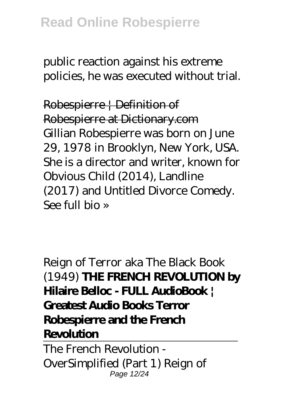public reaction against his extreme policies, he was executed without trial.

Robespierre | Definition of Robespierre at Dictionary.com Gillian Robespierre was born on June 29, 1978 in Brooklyn, New York, USA. She is a director and writer, known for Obvious Child (2014), Landline (2017) and Untitled Divorce Comedy. See full bio »

Reign of Terror aka The Black Book (1949) **THE FRENCH REVOLUTION by Hilaire Belloc - FULL AudioBook | Greatest Audio Books Terror Robespierre and the French Revolution**

The French Revolution - OverSimplified (Part 1) Reign of Page 12/24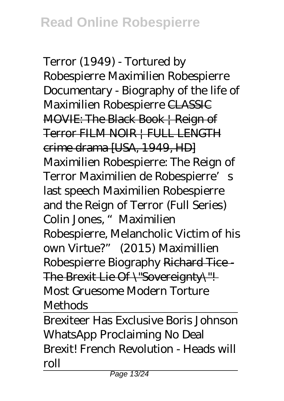Terror (1949) - Tortured by Robespierre *Maximilien Robespierre Documentary - Biography of the life of Maximilien Robespierre* CLASSIC MOVIE: The Black Book | Reign of Terror FILM NOIR | FULL LENGTH crime drama [USA, 1949, HD] Maximilien Robespierre: The Reign of Terror *Maximilien de Robespierre's last speech Maximilien Robespierre and the Reign of Terror (Full Series) Colin Jones, "Maximilien Robespierre, Melancholic Victim of his own Virtue?" (2015) Maximillien Robespierre Biography* Richard Tice - The Brexit Lie Of \"Sovereignty\"!-*Most Gruesome Modern Torture Methods*

Brexiteer Has Exclusive Boris Johnson WhatsApp Proclaiming No Deal Brexit! French Revolution - Heads will roll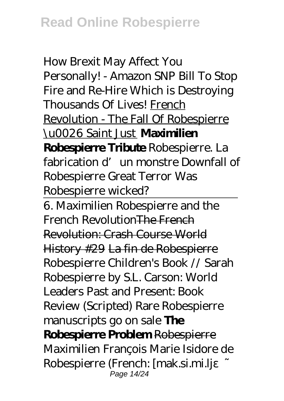How Brexit May Affect You Personally! - Amazon SNP Bill To Stop Fire and Re-Hire Which is Destroying Thousands Of Lives! French Revolution - The Fall Of Robespierre \u0026 Saint Just **Maximilien Robespierre Tribute** Robespierre. La fabrication d'un monstre *Downfall of Robespierre Great Terror* Was Robespierre wicked?

6. Maximilien Robespierre and the French RevolutionThe French Revolution: Crash Course World History #29 La fin de Robespierre *Robespierre Children's Book // Sarah Robespierre by S.L. Carson: World Leaders Past and Present: Book Review (Scripted) Rare Robespierre manuscripts go on sale* **The Robespierre Problem** Robespierre Maximilien François Marie Isidore de Robespierre (French: [mak.si.mi.lj Page 14/24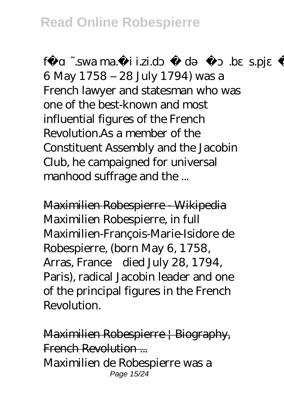f .swa ma. i i.zi.d d. b s.pj 6 May 1758 – 28 July 1794) was a French lawyer and statesman who was one of the best-known and most influential figures of the French Revolution.As a member of the Constituent Assembly and the Jacobin Club, he campaigned for universal manhood suffrage and the ...

Maximilien Robespierre - Wikipedia Maximilien Robespierre, in full Maximilien-François-Marie-Isidore de Robespierre, (born May 6, 1758, Arras, France—died July 28, 1794, Paris), radical Jacobin leader and one of the principal figures in the French Revolution.

Maximilien Robespierre | Biography, French Revolution ... Maximilien de Robespierre was a Page 15/24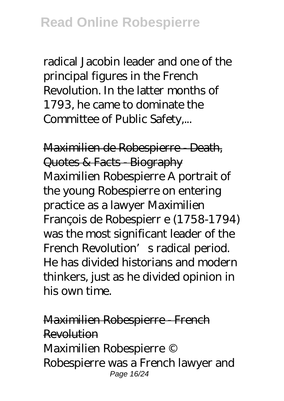radical Jacobin leader and one of the principal figures in the French Revolution. In the latter months of 1793, he came to dominate the Committee of Public Safety,...

Maximilien de Robespierre - Death, Quotes & Facts Biography Maximilien Robespierre A portrait of the young Robespierre on entering practice as a lawyer Maximilien François de Robespierr e (1758-1794) was the most significant leader of the French Revolution's radical period. He has divided historians and modern thinkers, just as he divided opinion in his own time.

Maximilien Robespierre - French **Revolution** Maximilien Robespierre © Robespierre was a French lawyer and Page 16/24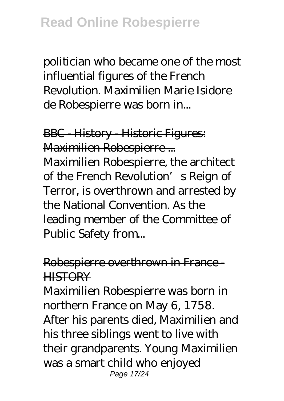politician who became one of the most influential figures of the French Revolution. Maximilien Marie Isidore de Robespierre was born in...

BBC - History - Historic Figures: Maximilien Robespierre ... Maximilien Robespierre, the architect of the French Revolution's Reign of Terror, is overthrown and arrested by the National Convention. As the leading member of the Committee of Public Safety from...

### Robespierre overthrown in France - **HISTORY**

Maximilien Robespierre was born in northern France on May 6, 1758. After his parents died, Maximilien and his three siblings went to live with their grandparents. Young Maximilien was a smart child who enjoyed Page 17/24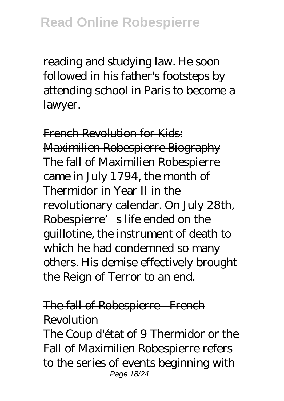reading and studying law. He soon followed in his father's footsteps by attending school in Paris to become a lawyer.

French Revolution for Kids: Maximilien Robespierre Biography The fall of Maximilien Robespierre came in July 1794, the month of Thermidor in Year II in the revolutionary calendar. On July 28th, Robespierre's life ended on the guillotine, the instrument of death to which he had condemned so many others. His demise effectively brought the Reign of Terror to an end.

#### The fall of Robespierre - French Revolution

The Coup d'état of 9 Thermidor or the Fall of Maximilien Robespierre refers to the series of events beginning with Page 18/24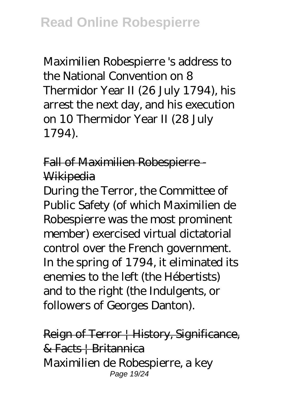Maximilien Robespierre 's address to the National Convention on 8 Thermidor Year II (26 July 1794), his arrest the next day, and his execution on 10 Thermidor Year II (28 July 1794).

### Fall of Maximilien Robespierre-**Wikipedia**

During the Terror, the Committee of Public Safety (of which Maximilien de Robespierre was the most prominent member) exercised virtual dictatorial control over the French government. In the spring of 1794, it eliminated its enemies to the left (the Hébertists) and to the right (the Indulgents, or followers of Georges Danton).

Reign of Terror | History, Significance, & Facts | Britannica Maximilien de Robespierre, a key Page 19/24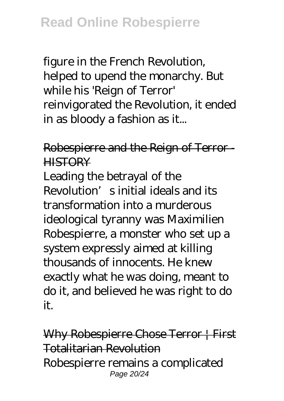figure in the French Revolution, helped to upend the monarchy. But while his 'Reign of Terror' reinvigorated the Revolution, it ended in as bloody a fashion as it...

Robespierre and the Reign of Terror - **HISTORY** 

Leading the betrayal of the Revolution's initial ideals and its transformation into a murderous ideological tyranny was Maximilien Robespierre, a monster who set up a system expressly aimed at killing thousands of innocents. He knew exactly what he was doing, meant to do it, and believed he was right to do it.

Why Robespierre Chose Terror | First Totalitarian Revolution Robespierre remains a complicated Page 20/24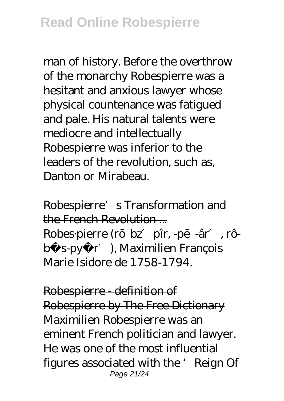man of history. Before the overthrow of the monarchy Robespierre was a hesitant and anxious lawyer whose physical countenance was fatigued and pale. His natural talents were mediocre and intellectually Robespierre was inferior to the leaders of the revolution, such as, Danton or Mirabeau.

Robespierre's Transformation and the French Revolution... Robes·pierre (r bz pîr, -p -âr, rôb s-py r ), Maximilien François Marie Isidore de 1758-1794.

Robespierre - definition of Robespierre by The Free Dictionary Maximilien Robespierre was an eminent French politician and lawyer. He was one of the most influential figures associated with the 'Reign Of Page 21/24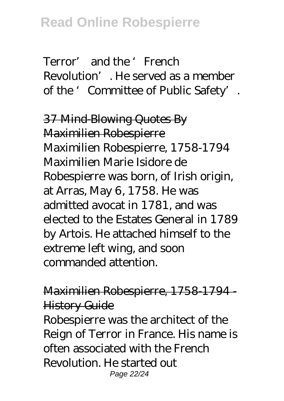## **Read Online Robespierre**

Terror' and the 'French Revolution'. He served as a member of the 'Committee of Public Safety'.

37 Mind-Blowing Quotes By Maximilien Robespierre Maximilien Robespierre, 1758-1794 Maximilien Marie Isidore de Robespierre was born, of Irish origin, at Arras, May 6, 1758. He was admitted avocat in 1781, and was elected to the Estates General in 1789 by Artois. He attached himself to the extreme left wing, and soon commanded attention.

#### Maximilien Robespierre, 1758-1794 - **History Guide**

Robespierre was the architect of the Reign of Terror in France. His name is often associated with the French Revolution. He started out Page 22/24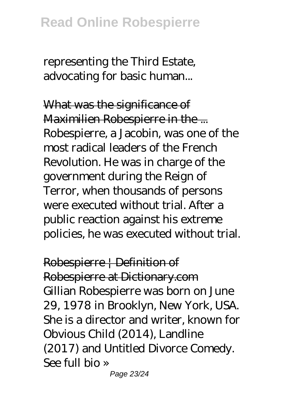representing the Third Estate, advocating for basic human...

What was the significance of Maximilien Robespierre in the ... Robespierre, a Jacobin, was one of the most radical leaders of the French Revolution. He was in charge of the government during the Reign of Terror, when thousands of persons were executed without trial. After a public reaction against his extreme policies, he was executed without trial.

Robespierre | Definition of Robespierre at Dictionary.com Gillian Robespierre was born on June 29, 1978 in Brooklyn, New York, USA. She is a director and writer, known for Obvious Child (2014), Landline (2017) and Untitled Divorce Comedy. See full bio »